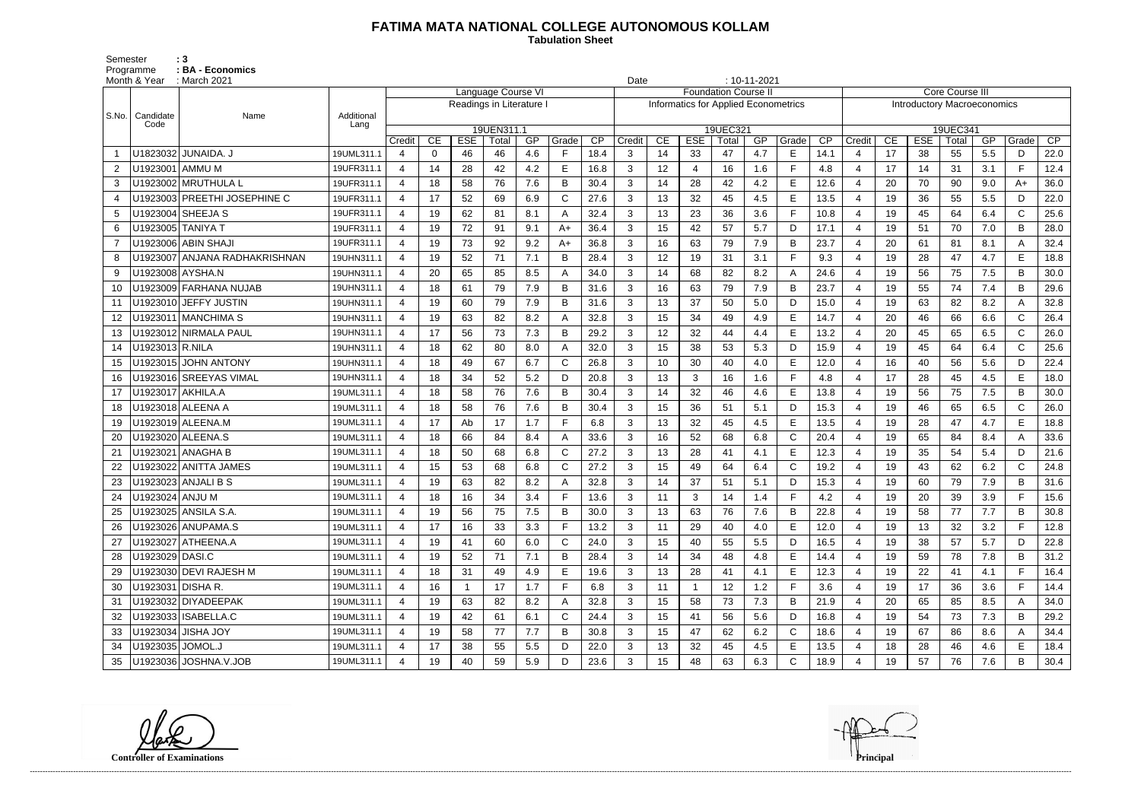## **FATIMA MATA NATIONAL COLLEGE AUTONOMOUS KOLLAM**

 **Tabulation Sheet** 

Semester : 3 Programme : **BA - Economics** 

|                | Month & Year      | : March 2021                  |                    | $: 10 - 11 - 2021$<br>Date<br>Language Course VI |          |                          |            |     |              |      |                                                                     |    |                |          |     |              |      |                                    |                        |            |       |     |              |      |  |
|----------------|-------------------|-------------------------------|--------------------|--------------------------------------------------|----------|--------------------------|------------|-----|--------------|------|---------------------------------------------------------------------|----|----------------|----------|-----|--------------|------|------------------------------------|------------------------|------------|-------|-----|--------------|------|--|
|                |                   |                               |                    |                                                  |          |                          |            |     |              |      | <b>Foundation Course II</b><br>Informatics for Applied Econometrics |    |                |          |     |              |      |                                    | <b>Core Course III</b> |            |       |     |              |      |  |
|                |                   |                               |                    |                                                  |          | Readings in Literature I |            |     |              |      |                                                                     |    |                |          |     |              |      | <b>Introductory Macroeconomics</b> |                        |            |       |     |              |      |  |
| S.No.          | Candidate<br>Code | Name                          | Additional<br>Lang |                                                  |          |                          | 19UEN311.1 |     |              |      |                                                                     |    |                | 19UEC321 |     |              |      | 19UEC341                           |                        |            |       |     |              |      |  |
|                |                   |                               |                    | Credit                                           | CE       | <b>ESE</b>               | Total      | GP  | Grade        | CP   | Credit                                                              | CE | <b>ESE</b>     | Total    | GP  | Grade        | CP   | Credit                             | CE                     | <b>ESE</b> | Total | GP  | Grade        | CP   |  |
|                |                   | U1823032 JUNAIDA. J           | 19UML311.1         | 4                                                | $\Omega$ | 46                       | 46         | 4.6 | F.           | 18.4 | 3                                                                   | 14 | 33             | 47       | 4.7 | Е            | 14.1 | $\overline{4}$                     | 17                     | 38         | 55    | 5.5 | D            | 22.0 |  |
| $\overline{2}$ | U1923001   AMMU M |                               | 19UFR311.1         | $\overline{4}$                                   | 14       | 28                       | 42         | 4.2 | E            | 16.8 | 3                                                                   | 12 | $\overline{4}$ | 16       | 1.6 | F            | 4.8  | $\overline{4}$                     | 17                     | 14         | 31    | 3.1 | F.           | 12.4 |  |
| 3              |                   | U1923002 MRUTHULA L           | 19UFR311.1         | $\overline{4}$                                   | 18       | 58                       | 76         | 7.6 | B            | 30.4 | 3                                                                   | 14 | 28             | 42       | 4.2 | E            | 12.6 | $\overline{4}$                     | 20                     | 70         | 90    | 9.0 | $A+$         | 36.0 |  |
| 4              |                   | U1923003 PREETHI JOSEPHINE C  | 19UFR311.1         | 4                                                | 17       | 52                       | 69         | 6.9 | С            | 27.6 | 3                                                                   | 13 | 32             | 45       | 4.5 | E            | 13.5 | $\overline{4}$                     | 19                     | 36         | 55    | 5.5 | D            | 22.0 |  |
| 5              |                   | U1923004 SHEEJA S             | 19UFR311.1         | $\overline{4}$                                   | 19       | 62                       | 81         | 8.1 | А            | 32.4 | 3                                                                   | 13 | 23             | 36       | 3.6 | $\mathsf{F}$ | 10.8 | $\overline{4}$                     | 19                     | 45         | 64    | 6.4 | $\mathsf{C}$ | 25.6 |  |
| 6              |                   | U1923005 TANIYA T             | 19UFR311.1         | $\boldsymbol{\varDelta}$                         | 19       | 72                       | 91         | 9.1 | $A+$         | 36.4 | 3                                                                   | 15 | 42             | 57       | 5.7 | D            | 17.1 | $\overline{4}$                     | 19                     | 51         | 70    | 7.0 | B            | 28.0 |  |
| $\overline{7}$ |                   | U1923006 ABIN SHAJI           | 19UFR311.1         | 4                                                | 19       | 73                       | 92         | 9.2 | $A+$         | 36.8 | 3                                                                   | 16 | 63             | 79       | 7.9 | B            | 23.7 | $\overline{4}$                     | 20                     | 61         | 81    | 8.1 | A            | 32.4 |  |
| 8              |                   | U1923007 ANJANA RADHAKRISHNAN | 19UHN311.1         | $\overline{4}$                                   | 19       | 52                       | 71         | 7.1 | B            | 28.4 | 3                                                                   | 12 | 19             | 31       | 3.1 | F            | 9.3  | $\overline{4}$                     | 19                     | 28         | 47    | 4.7 | E            | 18.8 |  |
| 9              | U1923008 AYSHA.N  |                               | 19UHN311.1         | 4                                                | 20       | 65                       | 85         | 8.5 |              | 34.0 | 3                                                                   | 14 | 68             | 82       | 8.2 | A            | 24.6 | $\overline{4}$                     | 19                     | 56         | 75    | 7.5 | B            | 30.0 |  |
| 10             |                   | U1923009 FARHANA NUJAB        | 19UHN311.1         | $\overline{4}$                                   | 18       | 61                       | 79         | 7.9 | B            | 31.6 | 3                                                                   | 16 | 63             | 79       | 7.9 | B            | 23.7 | $\overline{4}$                     | 19                     | 55         | 74    | 7.4 | B            | 29.6 |  |
| 11             |                   | U1923010 JEFFY JUSTIN         | 19UHN311.1         | $\boldsymbol{\varDelta}$                         | 19       | 60                       | 79         | 7.9 | B            | 31.6 | 3                                                                   | 13 | 37             | 50       | 5.0 | D            | 15.0 | $\overline{4}$                     | 19                     | 63         | 82    | 8.2 | A            | 32.8 |  |
| 12             |                   | U1923011   MANCHIMA S         | 19UHN311.1         | 4                                                | 19       | 63                       | 82         | 8.2 |              | 32.8 | 3                                                                   | 15 | 34             | 49       | 4.9 | E            | 14.7 | $\overline{4}$                     | 20                     | 46         | 66    | 6.6 | $\mathsf{C}$ | 26.4 |  |
| 13             |                   | U1923012 NIRMALA PAUL         | 19UHN311.1         | $\overline{4}$                                   | 17       | 56                       | 73         | 7.3 | B            | 29.2 | 3                                                                   | 12 | 32             | 44       | 4.4 | $\mathsf E$  | 13.2 | $\overline{4}$                     | 20                     | 45         | 65    | 6.5 | $\mathsf{C}$ | 26.0 |  |
| 14             | U1923013 R.NILA   |                               | 19UHN311.1         | $\overline{4}$                                   | 18       | 62                       | 80         | 8.0 |              | 32.0 | 3                                                                   | 15 | 38             | 53       | 5.3 | D            | 15.9 | $\overline{4}$                     | 19                     | 45         | 64    | 6.4 | $\mathsf{C}$ | 25.6 |  |
| 15             |                   | U1923015 JOHN ANTONY          | 19UHN311.1         | $\overline{4}$                                   | 18       | 49                       | 67         | 6.7 | $\mathsf{C}$ | 26.8 | 3                                                                   | 10 | 30             | 40       | 4.0 | Е            | 12.0 | $\overline{4}$                     | 16                     | 40         | 56    | 5.6 | D            | 22.4 |  |
| 16             |                   | U1923016 SREEYAS VIMAL        | 19UHN311.1         | $\boldsymbol{\varDelta}$                         | 18       | 34                       | 52         | 5.2 | D            | 20.8 | 3                                                                   | 13 | 3              | 16       | 1.6 | F            | 4.8  | $\overline{4}$                     | 17                     | 28         | 45    | 4.5 | E            | 18.0 |  |
| 17             | U1923017 AKHILA.A |                               | 19UML311.1         | 4                                                | 18       | 58                       | 76         | 7.6 | В            | 30.4 | 3                                                                   | 14 | 32             | 46       | 4.6 | Е            | 13.8 | -4                                 | 19                     | 56         | 75    | 7.5 | B            | 30.0 |  |
| 18             |                   | U1923018 ALEENA A             | 19UML311.1         | $\overline{4}$                                   | 18       | 58                       | 76         | 7.6 | В            | 30.4 | 3                                                                   | 15 | 36             | 51       | 5.1 | D            | 15.3 | $\overline{4}$                     | 19                     | 46         | 65    | 6.5 | $\mathsf{C}$ | 26.0 |  |
| 19             |                   | U1923019 ALEENA.M             | 19UML311.1         | $\overline{4}$                                   | 17       | Ab                       | 17         | 1.7 | E            | 6.8  | 3                                                                   | 13 | 32             | 45       | 4.5 | E            | 13.5 | $\overline{\mathcal{L}}$           | 19                     | 28         | 47    | 4.7 | E            | 18.8 |  |
| 20             |                   | U1923020 ALEENA.S             | 19UML311.1         | 4                                                | 18       | 66                       | 84         | 8.4 | Α            | 33.6 | 3                                                                   | 16 | 52             | 68       | 6.8 | $\mathsf{C}$ | 20.4 | $\overline{4}$                     | 19                     | 65         | 84    | 8.4 | A            | 33.6 |  |
| 21             |                   | U1923021 ANAGHA B             | 19UML311.1         | 4                                                | 18       | 50                       | 68         | 6.8 | C            | 27.2 | 3                                                                   | 13 | 28             | 41       | 4.1 | E            | 12.3 | $\overline{4}$                     | 19                     | 35         | 54    | 5.4 | D            | 21.6 |  |
|                |                   | U1923022 ANITTA JAMES         | 19UML311.1         | $\boldsymbol{\varDelta}$                         | 15       | 53                       | 68         | 6.8 | $\mathsf{C}$ | 27.2 | 3                                                                   | 15 | 49             | 64       | 6.4 | $\mathsf{C}$ | 19.2 | $\overline{4}$                     | 19                     | 43         | 62    | 6.2 | $\mathsf{C}$ | 24.8 |  |
| 23             |                   | U1923023 ANJALI B S           | 19UML311.1         | 4                                                | 19       | 63                       | 82         | 8.2 | А            | 32.8 | 3                                                                   | 14 | 37             | 51       | 5.1 | D            | 15.3 | $\overline{4}$                     | 19                     | 60         | 79    | 7.9 | B            | 31.6 |  |
| 24             | U1923024 ANJU M   |                               | 19UML311.1         | $\boldsymbol{4}$                                 | 18       | 16                       | 34         | 3.4 |              | 13.6 | 3                                                                   | 11 | 3              | 14       | 1.4 | F            | 4.2  | $\overline{4}$                     | 19                     | 20         | 39    | 3.9 |              | 15.6 |  |
|                |                   | U1923025 ANSILA S.A.          | 19UML311.1         | 4                                                | 19       | 56                       | 75         | 7.5 | B            | 30.0 | 3                                                                   | 13 | 63             | 76       | 7.6 | В            | 22.8 | -4                                 | 19                     | 58         | 77    | 7.7 | B            | 30.8 |  |
| 26             |                   | U1923026 ANUPAMA.S            | 19UML311.1         | 4                                                | 17       | 16                       | 33         | 3.3 |              | 13.2 | 3                                                                   | 11 | 29             | 40       | 4.0 | E            | 12.0 | -4                                 | 19                     | 13         | 32    | 3.2 |              | 12.8 |  |
| 27             |                   | U1923027 ATHEENA.A            | 19UML311.1         | $\overline{4}$                                   | 19       | 41                       | 60         | 6.0 | $\mathsf{C}$ | 24.0 | 3                                                                   | 15 | 40             | 55       | 5.5 | D            | 16.5 | -4                                 | 19                     | 38         | 57    | 5.7 | D            | 22.8 |  |
| 28             | U1923029 DASI.C   |                               | 19UML311.1         | 4                                                | 19       | 52                       | 71         | 7.1 | B            | 28.4 | 3 <sup>1</sup>                                                      | 14 | 34             | 48       | 4.8 | E            | 14.4 | $\overline{4}$                     | 19                     | 59         | 78    | 7.8 | B            | 31.2 |  |
| 29             |                   | U1923030 DEVI RAJESH M        | 19UML311.1         | 4                                                | 18       | 31                       | 49         | 4.9 | E.           | 19.6 | 3                                                                   | 13 | 28             | 41       | 4.1 | E            | 12.3 | $\overline{4}$                     | 19                     | 22         | 41    | 4.1 | F.           | 16.4 |  |
| 30             | U1923031 DISHA R. |                               | 19UML311.1         | $\overline{4}$                                   | 16       |                          | 17         | 1.7 | F            | 6.8  | 3                                                                   | 11 |                | 12       | 1.2 | F            | 3.6  | 4                                  | 19                     | 17         | 36    | 3.6 | F.           | 14.4 |  |
| 31             |                   | U1923032 DIYADEEPAK           | 19UML311.1         | 4                                                | 19       | 63                       | 82         | 8.2 |              | 32.8 | 3                                                                   | 15 | 58             | 73       | 7.3 | B            | 21.9 | -4                                 | 20                     | 65         | 85    | 8.5 | A            | 34.0 |  |
| 32             |                   | U1923033   ISABELLA.C         | 19UML311.1         | 4                                                | 19       | 42                       | 61         | 6.1 | C            | 24.4 | 3                                                                   | 15 | 41             | 56       | 5.6 | D            | 16.8 | -4                                 | 19                     | 54         | 73    | 7.3 | B            | 29.2 |  |
| 33             |                   | U1923034 JISHA JOY            | 19UML311.1         | 4                                                | 19       | 58                       | 77         | 7.7 | В            | 30.8 | 3                                                                   | 15 | 47             | 62       | 6.2 | C            | 18.6 | -4                                 | 19                     | 67         | 86    | 8.6 |              | 34.4 |  |
| 34             | U1923035 JOMOL.J  |                               | 19UML311.1         | 4                                                | 17       | 38                       | 55         | 5.5 | D            | 22.0 | 3                                                                   | 13 | 32             | 45       | 4.5 | E            | 13.5 | -4                                 | 18                     | 28         | 46    | 4.6 | E            | 18.4 |  |
| 35             |                   | U1923036 JOSHNA.V.JOB         | 19UML311.1         |                                                  | 19       | 40                       | 59         | 5.9 | D            | 23.6 | $\mathbf{3}$                                                        | 15 | 48             | 63       | 6.3 | C            | 18.9 | $\overline{4}$                     | 19                     | 57         | 76    | 7.6 | B            | 30.4 |  |

------------------------------------------------------------------------------------------------------------------------------------------------------------------------------------------------------------------------------------------------------------------------------------------------------------------------------------------------------------------------------------------------------------------------

**Controller of Examinations**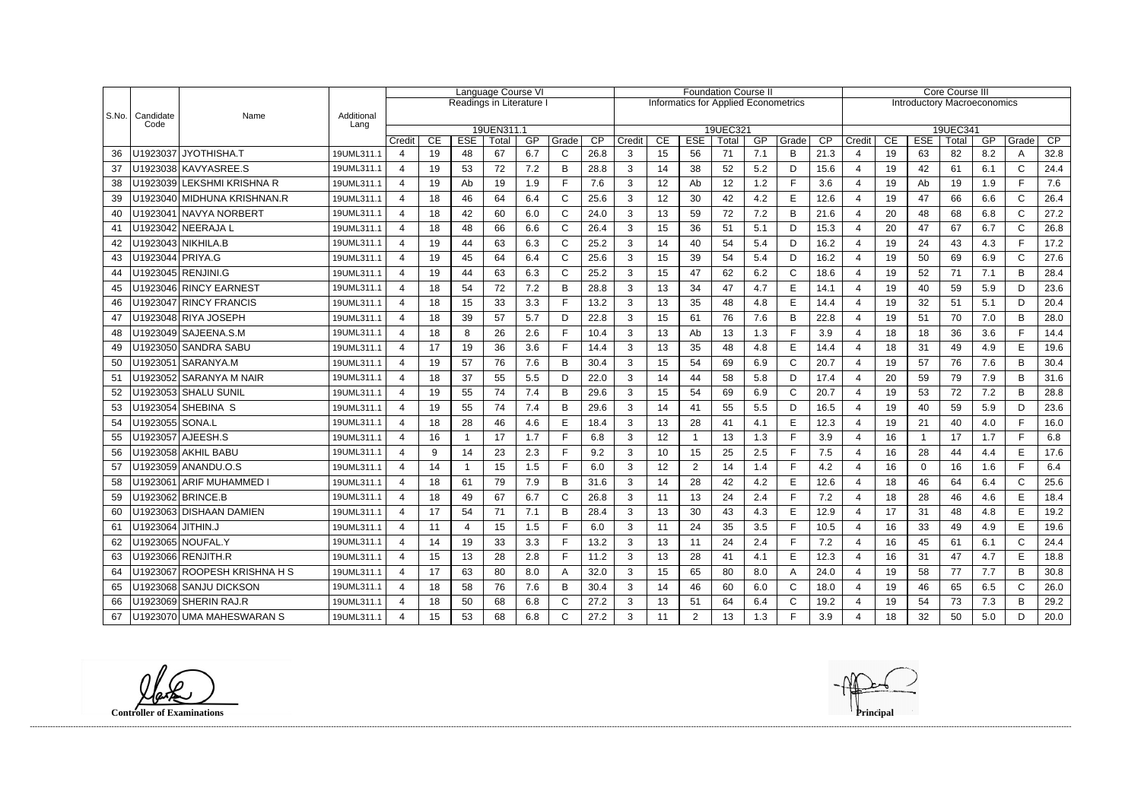|       |                   |                              |                    | Language Course VI    |    |                          |            |     |       | <b>Foundation Course II</b> |                                             |    |                |          |     |              | <b>Core Course III</b> |                                    |    |            |          |     |              |      |  |
|-------|-------------------|------------------------------|--------------------|-----------------------|----|--------------------------|------------|-----|-------|-----------------------------|---------------------------------------------|----|----------------|----------|-----|--------------|------------------------|------------------------------------|----|------------|----------|-----|--------------|------|--|
|       |                   |                              |                    |                       |    | Readings in Literature I |            |     |       |                             | <b>Informatics for Applied Econometrics</b> |    |                |          |     |              |                        | <b>Introductory Macroeconomics</b> |    |            |          |     |              |      |  |
| S.No. | Candidate<br>Code | Name                         | Additional<br>Lang |                       |    |                          |            |     |       |                             |                                             |    |                |          |     |              |                        |                                    |    |            |          |     |              |      |  |
|       |                   |                              |                    |                       |    |                          | 19UEN311.1 |     |       |                             |                                             |    |                | 19UEC321 |     |              |                        |                                    |    |            | 19UEC341 |     |              |      |  |
|       |                   |                              |                    | Credit                | CE | <b>ESE</b>               | Total      | GP  | Grade | CP                          | Credit                                      | CE | <b>ESE</b>     | Total    | GP  | Grade        | CP                     | Credit                             | CE | <b>ESE</b> | Total    | GP  | Grade        | CP   |  |
| 36    |                   | U1923037   JYOTHISHA.T       | 19UML311.1         | 4                     | 19 | 48                       | 67         | 6.7 | C     | 26.8                        | 3                                           | 15 | 56             | 71       | 7.1 | B            | 21.3                   | $\boldsymbol{4}$                   | 19 | 63         | 82       | 8.2 | A            | 32.8 |  |
| 37    |                   | U1923038 KAVYASREE.S         | 19UML311.1         | 4                     | 19 | 53                       | 72         | 7.2 | B     | 28.8                        | 3                                           | 14 | 38             | 52       | 5.2 | D            | 15.6                   | 4                                  | 19 | 42         | 61       | 6.1 | C            | 24.4 |  |
| 38    |                   | U1923039 LEKSHMI KRISHNA R   | 19UML311.1         | $\overline{4}$        | 19 | Ab                       | 19         | 1.9 |       | 7.6                         | 3                                           | 12 | Ab             | 12       | 1.2 | F            | 3.6                    | 4                                  | 19 | Ab         | 19       | 1.9 |              | 7.6  |  |
| 39    |                   | U1923040 MIDHUNA KRISHNAN.R  | 19UML311.1         | $\overline{4}$        | 18 | 46                       | 64         | 6.4 | C     | 25.6                        | 3                                           | 12 | 30             | 42       | 4.2 | E            | 12.6                   | $\overline{4}$                     | 19 | 47         | 66       | 6.6 | $\mathsf{C}$ | 26.4 |  |
| 40    |                   | U1923041   NAVYA NORBERT     | 19UML311.1         | 4                     | 18 | 42                       | 60         | 6.0 | C     | 24.0                        | 3                                           | 13 | 59             | 72       | 7.2 | B            | 21.6                   | $\overline{4}$                     | 20 | 48         | 68       | 6.8 | $\mathsf{C}$ | 27.2 |  |
| 41    |                   | U1923042 NEERAJA L           | 19UML311.1         | $\overline{4}$        | 18 | 48                       | 66         | 6.6 |       | 26.4                        | 3                                           | 15 | 36             | 51       | 5.1 | D            | 15.3                   | $\overline{4}$                     | 20 | 47         | 67       | 6.7 | $\mathsf{C}$ | 26.8 |  |
| 42    |                   | U1923043   NIKHILA.B         | 19UML311.1         | 4                     | 19 | 44                       | 63         | 6.3 | C     | 25.2                        | 3                                           | 14 | 40             | 54       | 5.4 | D            | 16.2                   | 4                                  | 19 | 24         | 43       | 4.3 | Е            | 17.2 |  |
| 43    | U1923044 PRIYA.G  |                              | 19UML311.1         | 4                     | 19 | 45                       | 64         | 6.4 | C     | 25.6                        | 3                                           | 15 | 39             | 54       | 5.4 | D            | 16.2                   | $\boldsymbol{\varDelta}$           | 19 | 50         | 69       | 6.9 | C            | 27.6 |  |
| 44    |                   | U1923045 RENJINI.G           | 19UML311.1         | $\overline{4}$        | 19 | 44                       | 63         | 6.3 | C     | 25.2                        | 3                                           | 15 | 47             | 62       | 6.2 | $\mathsf{C}$ | 18.6                   | $\overline{4}$                     | 19 | 52         | 71       | 7.1 | B.           | 28.4 |  |
| 45    |                   | U1923046 RINCY EARNEST       | 19UML311.1         | $\overline{4}$        | 18 | 54                       | 72         | 7.2 | B     | 28.8                        | 3                                           | 13 | 34             | 47       | 4.7 | E            | 14.1                   | $\overline{4}$                     | 19 | 40         | 59       | 5.9 | D.           | 23.6 |  |
| 46    |                   | U1923047 RINCY FRANCIS       | 19UML311.1         | $\overline{4}$        | 18 | 15                       | 33         | 3.3 | Е     | 13.2                        | 3                                           | 13 | 35             | 48       | 4.8 | $\mathsf E$  | 14.4                   | $\overline{\mathbf{4}}$            | 19 | 32         | 51       | 5.1 | D            | 20.4 |  |
| 47    |                   | U1923048 RIYA JOSEPH         | 19UML311.1         | 4                     | 18 | 39                       | 57         | 5.7 | D     | 22.8                        | 3                                           | 15 | 61             | 76       | 7.6 | B            | 22.8                   | 4                                  | 19 | 51         | 70       | 7.0 | B            | 28.0 |  |
| 48    |                   | U1923049 SAJEENA.S.M         | 19UML311.1         | 4                     | 18 | 8                        | 26         | 2.6 |       | 10.4                        | 3                                           | 13 | Ab             | 13       | 1.3 | F            | 3.9                    | $\boldsymbol{\varDelta}$           | 18 | 18         | 36       | 3.6 |              | 14.4 |  |
| 49    |                   | U1923050 SANDRA SABU         | 19UML311.1         | 4                     | 17 | 19                       | 36         | 3.6 | Е     | 14.4                        | 3                                           | 13 | 35             | 48       | 4.8 | E            | 14.4                   | $\overline{4}$                     | 18 | 31         | 49       | 4.9 | E            | 19.6 |  |
| 50    |                   | U1923051 SARANYA.M           | 19UML311.1         | $\overline{4}$        | 19 | 57                       | 76         | 7.6 | B     | 30.4                        | 3                                           | 15 | 54             | 69       | 6.9 | C            | 20.7                   | 4                                  | 19 | 57         | 76       | 7.6 | B            | 30.4 |  |
| -51   |                   | U1923052 SARANYA M NAIR      | 19UML311.1         | $\overline{4}$        | 18 | 37                       | 55         | 5.5 | D     | 22.0                        | 3                                           | 14 | 44             | 58       | 5.8 | D            | 17.4                   | $\overline{4}$                     | 20 | 59         | 79       | 7.9 | B            | 31.6 |  |
| 52    |                   | U1923053 SHALU SUNIL         | 19UML311.1         | 4                     | 19 | 55                       | 74         | 7.4 | B     | 29.6                        | 3                                           | 15 | 54             | 69       | 6.9 | $\mathsf{C}$ | 20.7                   | 4                                  | 19 | 53         | 72       | 7.2 | B            | 28.8 |  |
| 53    |                   | U1923054 SHEBINA S           | 19UML311.1         | 4                     | 19 | 55                       | 74         | 7.4 | B     | 29.6                        | 3                                           | 14 | 41             | 55       | 5.5 | D            | 16.5                   | $\overline{4}$                     | 19 | 40         | 59       | 5.9 | D.           | 23.6 |  |
| 54    | U1923055 SONA.L   |                              | 19UML311.1         | $\overline{4}$        | 18 | 28                       | 46         | 4.6 | E     | 18.4                        | 3                                           | 13 | 28             | 41       | 4.1 | E            | 12.3                   | $\overline{4}$                     | 19 | 21         | 40       | 4.0 | E            | 16.0 |  |
| 55    |                   | U1923057 AJEESH.S            | 19UML311.1         | $\overline{4}$        | 16 | -1                       | 17         | 1.7 |       | 6.8                         | 3                                           | 12 |                | 13       | 1.3 | E            | 3.9                    | 4                                  | 16 |            | 17       | 1.7 | E.           | 6.8  |  |
| 56    |                   | U1923058   AKHIL BABU        | 19UML311.1         | $\overline{4}$        | 9  | 14                       | 23         | 2.3 | Е     | 9.2                         | 3                                           | 10 | 15             | 25       | 2.5 | F            | 7.5                    | $\overline{4}$                     | 16 | 28         | 44       | 4.4 | E            | 17.6 |  |
| 57    |                   | U1923059 ANANDU.O.S          | 19UML311.1         | 4                     | 14 | $\mathbf 1$              | 15         | 1.5 | Е     | 6.0                         | 3                                           | 12 | $\overline{2}$ | 14       | 1.4 | F            | 4.2                    | 4                                  | 16 | 0          | 16       | 1.6 | F.           | 6.4  |  |
| 58    |                   | U1923061 ARIF MUHAMMED I     | 19UML311.1         | 4                     | 18 | 61                       | 79         | 7.9 | B     | 31.6                        | 3                                           | 14 | 28             | 42       | 4.2 | E            | 12.6                   | 4                                  | 18 | 46         | 64       | 6.4 | C            | 25.6 |  |
| 59    |                   | U1923062 BRINCE.B            | 19UML311.1         | $\boldsymbol{\Delta}$ | 18 | 49                       | 67         | 6.7 | C     | 26.8                        | 3                                           | 11 | 13             | 24       | 2.4 | E            | 7.2                    |                                    | 18 | 28         | 46       | 4.6 | E            | 18.4 |  |
| 60    |                   | U1923063 DISHAAN DAMIEN      | 19UML311.1         | Δ                     | 17 | 54                       | 71         | 7.1 | B     | 28.4                        | વ                                           | 13 | 30             | 43       | 4.3 | E            | 12.9                   |                                    | 17 | 31         | 48       | 4.8 | F            | 19.2 |  |
| 61    | U1923064 JITHIN.J |                              | 19UML311.1         | $\overline{4}$        | 11 | $\overline{4}$           | 15         | 1.5 | F     | 6.0                         | 3                                           | 11 | 24             | 35       | 3.5 | F            | 10.5                   | 4                                  | 16 | 33         | 49       | 4.9 | E            | 19.6 |  |
| 62    |                   | U1923065 NOUFAL.Y            | 19UML311.1         | 4                     | 14 | 19                       | 33         | 3.3 |       | 13.2                        | 3                                           | 13 | 11             | 24       | 2.4 | F            | 7.2                    | 4                                  | 16 | 45         | 61       | 6.1 | C.           | 24.4 |  |
| 63    |                   | U1923066 RENJITH.R           | 19UML311.1         | 4                     | 15 | 13                       | 28         | 2.8 |       | 11.2                        | 3                                           | 13 | 28             | 41       | 4.1 | E            | 12.3                   | 4                                  | 16 | 31         | 47       | 4.7 | E            | 18.8 |  |
| 64    |                   | U1923067 ROOPESH KRISHNA H S | 19UML311.1         | $\overline{4}$        | 17 | 63                       | 80         | 8.0 | A     | 32.0                        | 3                                           | 15 | 65             | 80       | 8.0 | Α            | 24.0                   | 4                                  | 19 | 58         | 77       | 7.7 | B            | 30.8 |  |
| 65    |                   | U1923068 SANJU DICKSON       | 19UML311.1         | 4                     | 18 | 58                       | 76         | 7.6 | B     | 30.4                        | 3                                           | 14 | 46             | 60       | 6.0 | C            | 18.0                   | 4                                  | 19 | 46         | 65       | 6.5 | C.           | 26.0 |  |
| 66    |                   | U1923069 SHERIN RAJ.R        | 19UML311.1         | 4                     | 18 | 50                       | 68         | 6.8 | С     | 27.2                        | 3                                           | 13 | 51             | 64       | 6.4 | C            | 19.2                   | 4                                  | 19 | 54         | 73       | 7.3 | B            | 29.2 |  |
| 67    |                   | U1923070 UMA MAHESWARAN S    | 19UML311.1         | 4                     | 15 | 53                       | 68         | 6.8 | C     | 27.2                        | 3                                           | 11 | $\overline{2}$ | 13       | 1.3 | F            | 3.9                    |                                    | 18 | 32         | 50       | 5.0 | D            | 20.0 |  |



**Controller of Examinations**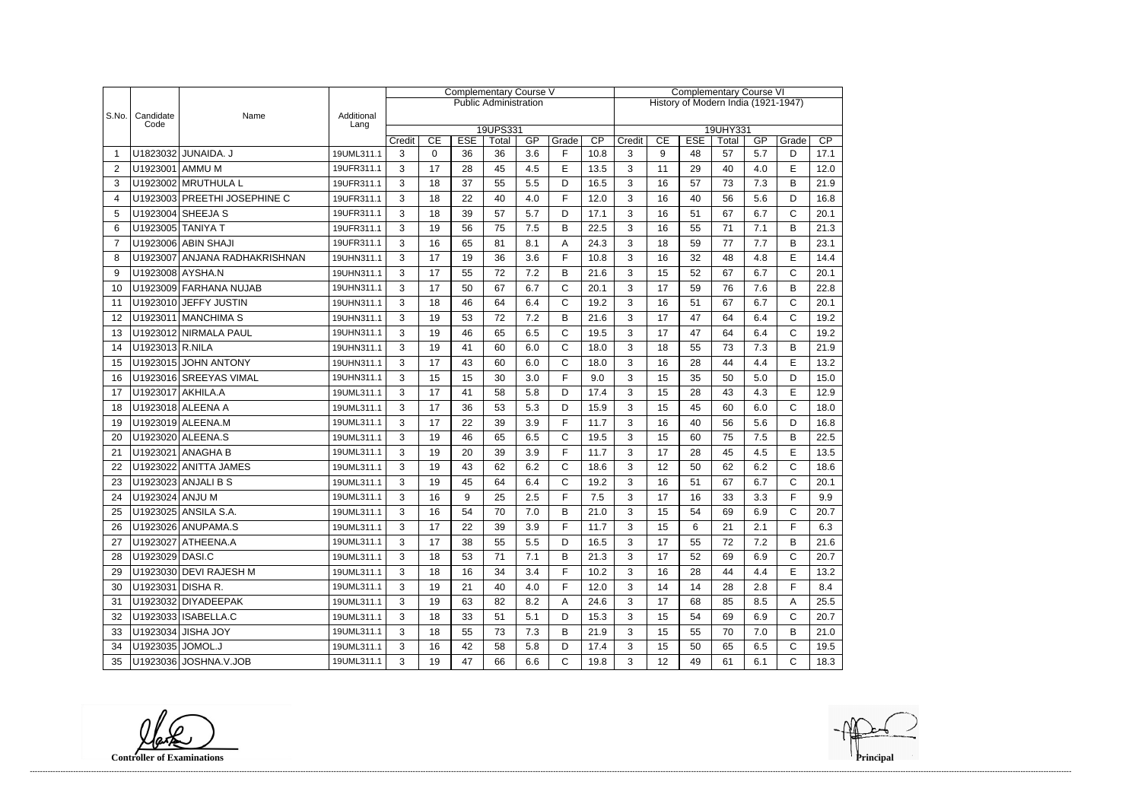|       |                   |                               |                    | <b>Complementary Course V</b> |         |                  |                              |           |              | <b>Complementary Course VI</b> |                                          |    |    |             |     |              |      |  |
|-------|-------------------|-------------------------------|--------------------|-------------------------------|---------|------------------|------------------------------|-----------|--------------|--------------------------------|------------------------------------------|----|----|-------------|-----|--------------|------|--|
|       |                   |                               |                    |                               |         |                  | <b>Public Administration</b> |           |              |                                | History of Modern India (1921-1947)      |    |    |             |     |              |      |  |
| S.No. | Candidate<br>Code | Name                          | Additional<br>Lang |                               |         |                  |                              |           |              |                                |                                          |    |    |             |     |              |      |  |
|       |                   |                               |                    |                               |         |                  | 19UPS331                     |           |              |                                | 19UHY331<br>CP<br>CE<br><b>ESE</b><br>GP |    |    |             |     |              |      |  |
|       |                   | U1823032 JUNAIDA. J           | 19UML311.1         | Credit<br>3                   | CE<br>0 | <b>ESE</b><br>36 | Total<br>36                  | GP<br>3.6 | Grade<br>F   | $\overline{CP}$<br>10.8        | Credit<br>3                              | 9  | 48 | Total<br>57 | 5.7 | Grade<br>D   | 17.1 |  |
| 2     | U1923001 AMMU M   |                               | 19UFR311.1         | 3                             | 17      | 28               | 45                           | 4.5       | E            | 13.5                           | 3                                        | 11 | 29 | 40          | 4.0 | E            | 12.0 |  |
| 3     |                   | U1923002 MRUTHULA L           | 19UFR311.1         | 3                             | 18      | 37               | 55                           | 5.5       | D            | 16.5                           | 3                                        | 16 | 57 | 73          | 7.3 | B            | 21.9 |  |
| 4     |                   | U1923003 PREETHI JOSEPHINE C  | 19UFR311.1         | 3                             | 18      | 22               | 40                           | 4.0       | E            | 12.0                           | 3                                        | 16 | 40 | 56          | 5.6 | D            | 16.8 |  |
|       |                   | U1923004 SHEEJA S             | 19UFR311.1         | 3                             | 18      | 39               | 57                           | 5.7       |              | 17.1                           | 3                                        | 16 | 51 | 67          | 6.7 | C            | 20.1 |  |
| 5     | U1923005 TANIYA T |                               | 19UFR311.1         |                               | 19      | 56               | 75                           | 7.5       | D<br>B       | 22.5                           | 3                                        | 16 | 55 | 71          | 7.1 | B            | 21.3 |  |
| 6     |                   | U1923006 ABIN SHAJI           |                    | 3                             |         | 65               |                              |           |              |                                |                                          | 18 | 59 | 77          | 7.7 |              |      |  |
| 7     |                   |                               | 19UFR311.1         | 3                             | 16      |                  | 81                           | 8.1       | Α<br>F       | 24.3                           | 3                                        |    |    | 48          |     | B            | 23.1 |  |
| 8     |                   | U1923007 ANJANA RADHAKRISHNAN | 19UHN311.1         | 3                             | 17      | 19               | 36                           | 3.6       |              | 10.8                           | 3                                        | 16 | 32 |             | 4.8 | E            | 14.4 |  |
| 9     | U1923008 AYSHA.N  |                               | 19UHN311.1         | 3                             | 17      | 55               | 72                           | 7.2       | B            | 21.6                           | 3                                        | 15 | 52 | 67          | 6.7 | C            | 20.1 |  |
| 10    |                   | U1923009 FARHANA NUJAB        | 19UHN311.1         | 3                             | 17      | 50               | 67                           | 6.7       | $\mathsf{C}$ | 20.1                           | 3                                        | 17 | 59 | 76          | 7.6 | B            | 22.8 |  |
| 11    |                   | U1923010 JEFFY JUSTIN         | 19UHN311.1         | 3                             | 18      | 46               | 64                           | 6.4       | $\mathsf{C}$ | 19.2                           | 3                                        | 16 | 51 | 67          | 6.7 | $\mathsf{C}$ | 20.1 |  |
| 12    |                   | U1923011 MANCHIMA S           | 19UHN311.1         | 3                             | 19      | 53               | 72                           | 7.2       | B            | 21.6                           | 3                                        | 17 | 47 | 64          | 6.4 | $\mathsf{C}$ | 19.2 |  |
| 13    |                   | U1923012 NIRMALA PAUL         | 19UHN311.1         | 3                             | 19      | 46               | 65                           | 6.5       | $\mathsf{C}$ | 19.5                           | 3                                        | 17 | 47 | 64          | 6.4 | $\mathsf{C}$ | 19.2 |  |
| 14    | U1923013 R.NILA   |                               | 19UHN311.1         | 3                             | 19      | 41               | 60                           | 6.0       | $\mathsf{C}$ | 18.0                           | 3                                        | 18 | 55 | 73          | 7.3 | B            | 21.9 |  |
| 15    |                   | U1923015 JOHN ANTONY          | 19UHN311.1         | 3                             | 17      | 43               | 60                           | 6.0       | $\mathsf{C}$ | 18.0                           | 3                                        | 16 | 28 | 44          | 4.4 | E            | 13.2 |  |
| 16    |                   | U1923016 SREEYAS VIMAL        | 19UHN311.1         | 3                             | 15      | 15               | 30                           | 3.0       | F            | 9.0                            | 3                                        | 15 | 35 | 50          | 5.0 | D            | 15.0 |  |
| 17    | U1923017 AKHILA.A |                               | 19UML311.1         | 3                             | 17      | 41               | 58                           | 5.8       | D            | 17.4                           | 3                                        | 15 | 28 | 43          | 4.3 | E            | 12.9 |  |
| 18    |                   | U1923018 ALEENA A             | 19UML311.1         | 3                             | 17      | 36               | 53                           | 5.3       | D            | 15.9                           | 3                                        | 15 | 45 | 60          | 6.0 | $\mathsf{C}$ | 18.0 |  |
| 19    |                   | U1923019 ALEENA.M             | 19UML311.1         | 3                             | 17      | 22               | 39                           | 3.9       | F            | 11.7                           | 3                                        | 16 | 40 | 56          | 5.6 | D            | 16.8 |  |
| 20    |                   | U1923020 ALEENA.S             | 19UML311.1         | 3                             | 19      | 46               | 65                           | 6.5       | $\mathsf{C}$ | 19.5                           | 3                                        | 15 | 60 | 75          | 7.5 | B            | 22.5 |  |
| 21    |                   | U1923021 ANAGHA B             | 19UML311.1         | 3                             | 19      | 20               | 39                           | 3.9       | F            | 11.7                           | 3                                        | 17 | 28 | 45          | 4.5 | E            | 13.5 |  |
| 22    |                   | U1923022 ANITTA JAMES         | 19UML311.1         | 3                             | 19      | 43               | 62                           | 6.2       | $\mathsf{C}$ | 18.6                           | 3                                        | 12 | 50 | 62          | 6.2 | C            | 18.6 |  |
| 23    |                   | U1923023 ANJALI B S           | 19UML311.1         | 3                             | 19      | 45               | 64                           | 6.4       | $\mathsf{C}$ | 19.2                           | 3                                        | 16 | 51 | 67          | 6.7 | $\mathsf{C}$ | 20.1 |  |
| 24    | U1923024 ANJU M   |                               | 19UML311.1         | 3                             | 16      | 9                | 25                           | 2.5       | E            | 7.5                            | 3                                        | 17 | 16 | 33          | 3.3 | E            | 9.9  |  |
| 25    |                   | U1923025 ANSILA S.A.          | 19UML311.1         | 3                             | 16      | 54               | 70                           | 7.0       | B            | 21.0                           | 3                                        | 15 | 54 | 69          | 6.9 | C            | 20.7 |  |
| 26    |                   | U1923026 ANUPAMA.S            | 19UML311.1         | 3                             | 17      | 22               | 39                           | 3.9       | F            | 11.7                           | 3                                        | 15 | 6  | 21          | 2.1 | F            | 6.3  |  |
| 27    |                   | U1923027 ATHEENA.A            | 19UML311.1         | 3                             | 17      | 38               | 55                           | 5.5       | D            | 16.5                           | 3                                        | 17 | 55 | 72          | 7.2 | В            | 21.6 |  |
| 28    | U1923029 DASI.C   |                               | 19UML311.1         | 3                             | 18      | 53               | 71                           | 7.1       | B            | 21.3                           | 3                                        | 17 | 52 | 69          | 6.9 | С            | 20.7 |  |
| 29    |                   | U1923030 DEVI RAJESH M        | 19UML311.1         | 3                             | 18      | 16               | 34                           | 3.4       | F            | 10.2                           | 3                                        | 16 | 28 | 44          | 4.4 | E            | 13.2 |  |
| 30    | U1923031 DISHA R. |                               | 19UML311.1         | 3                             | 19      | 21               | 40                           | 4.0       | F            | 12.0                           | 3                                        | 14 | 14 | 28          | 2.8 | F            | 8.4  |  |
| 31    |                   | U1923032 DIYADEEPAK           | 19UML311.1         | 3                             | 19      | 63               | 82                           | 8.2       | A            | 24.6                           | 3                                        | 17 | 68 | 85          | 8.5 | A            | 25.5 |  |
| 32    |                   | U1923033 ISABELLA.C           | 19UML311.1         | 3                             | 18      | 33               | 51                           | 5.1       | D            | 15.3                           | 3                                        | 15 | 54 | 69          | 6.9 | C            | 20.7 |  |
| 33    |                   | U1923034 JISHA JOY            | 19UML311.1         | 3                             | 18      | 55               | 73                           | 7.3       | B            | 21.9                           | 3                                        | 15 | 55 | 70          | 7.0 | B            | 21.0 |  |
| 34    | U1923035 JOMOL.J  |                               | 19UML311.1         | 3                             | 16      | 42               | 58                           | 5.8       | D            | 17.4                           | 3                                        | 15 | 50 | 65          | 6.5 | C            | 19.5 |  |
| 35    |                   | U1923036 JOSHNA.V.JOB         | 19UML311.1         | 3                             | 19      | 47               | 66                           | 6.6       | $\mathsf C$  | 19.8                           | 3                                        | 12 | 49 | 61          | 6.1 | C            | 18.3 |  |

**Controller of Examinations**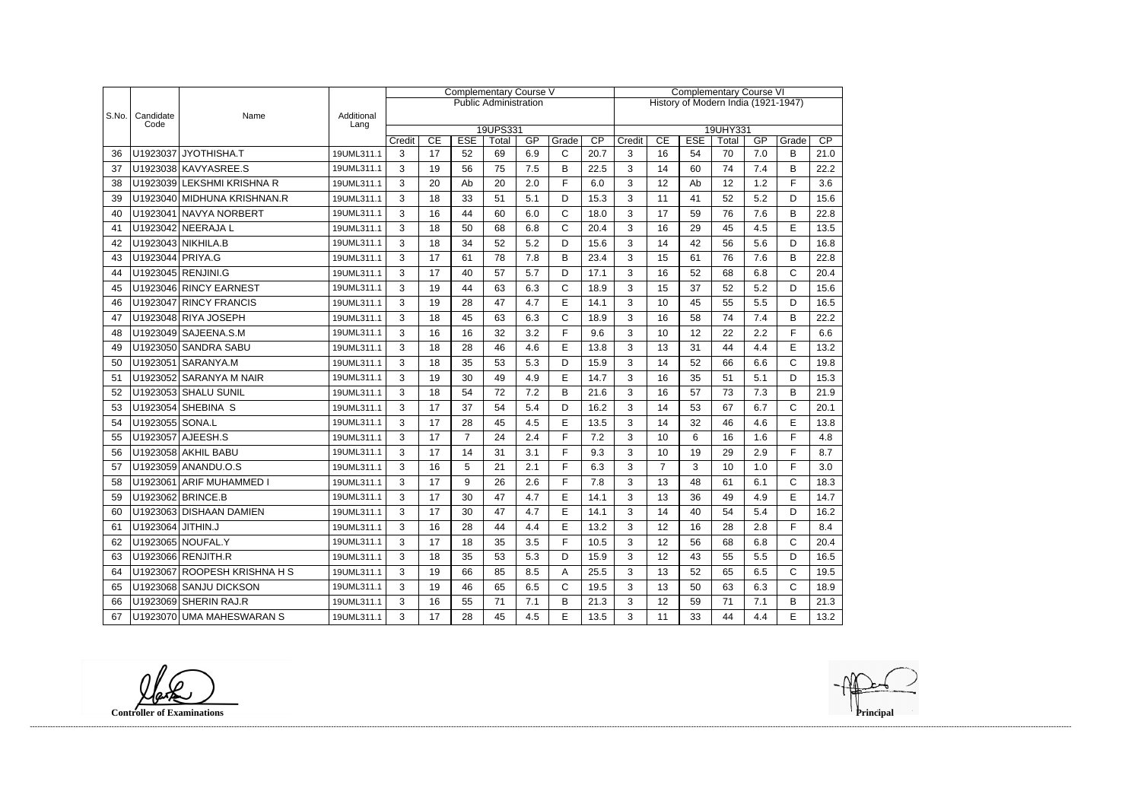|       |                   |                              |                    | <b>Complementary Course V</b> |          |                  |                              |           |                       |            | <b>Complementary Course VI</b>      |                |    |             |           |              |            |  |
|-------|-------------------|------------------------------|--------------------|-------------------------------|----------|------------------|------------------------------|-----------|-----------------------|------------|-------------------------------------|----------------|----|-------------|-----------|--------------|------------|--|
|       |                   |                              |                    |                               |          |                  | <b>Public Administration</b> |           |                       |            | History of Modern India (1921-1947) |                |    |             |           |              |            |  |
| S.No. | Candidate<br>Code | Name                         | Additional<br>Lang |                               |          |                  |                              |           |                       |            |                                     |                |    |             |           |              |            |  |
|       |                   |                              |                    |                               |          |                  | 19UPS331                     |           |                       |            | 19UHY331<br><b>ESE</b>              |                |    |             |           |              |            |  |
| 36    |                   | U1923037 JYOTHISHA.T         | 19UML311.1         | Credit<br>3                   | CE<br>17 | <b>ESE</b><br>52 | Total<br>69                  | GP<br>6.9 | Grade<br>$\mathsf{C}$ | CP<br>20.7 | Credit<br>3                         | CE<br>16       | 54 | Total<br>70 | GP<br>7.0 | Grade<br>В   | CP<br>21.0 |  |
|       |                   | U1923038 KAVYASREE.S         |                    |                               |          | 56               | 75                           |           |                       |            |                                     | 14             |    | 74          | 7.4       |              |            |  |
| 37    |                   |                              | 19UML311.1         | 3                             | 19       |                  |                              | 7.5       | B<br>F                | 22.5       | 3                                   |                | 60 |             |           | B<br>F       | 22.2       |  |
| 38    |                   | U1923039 LEKSHMI KRISHNA R   | 19UML311.1         | 3                             | 20       | Ab               | 20                           | 2.0       |                       | 6.0        | 3                                   | 12             | Ab | 12          | 1.2       |              | 3.6        |  |
| 39    |                   | U1923040 MIDHUNA KRISHNAN.R  | 19UML311.1         | 3                             | 18       | 33               | 51                           | 5.1       | D                     | 15.3       | 3                                   | 11             | 41 | 52          | 5.2       | D            | 15.6       |  |
| 40    |                   | U1923041 NAVYA NORBERT       | 19UML311.1         | 3                             | 16       | 44               | 60                           | 6.0       | C                     | 18.0       | 3                                   | 17             | 59 | 76          | 7.6       | B            | 22.8       |  |
| 41    |                   | U1923042 NEERAJA L           | 19UML311.1         | 3                             | 18       | 50               | 68                           | 6.8       | $\mathsf{C}$          | 20.4       | 3                                   | 16             | 29 | 45          | 4.5       | E            | 13.5       |  |
| 42    |                   | U1923043 NIKHILA.B           | 19UML311.1         | 3                             | 18       | 34               | 52                           | 5.2       | D                     | 15.6       | 3                                   | 14             | 42 | 56          | 5.6       | D            | 16.8       |  |
| 43    | U1923044 PRIYA.G  |                              | 19UML311.1         | 3                             | 17       | 61               | 78                           | 7.8       | B                     | 23.4       | 3                                   | 15             | 61 | 76          | 7.6       | B            | 22.8       |  |
| 44    |                   | U1923045 RENJINI.G           | 19UML311.1         | 3                             | 17       | 40               | 57                           | 5.7       | D                     | 17.1       | 3                                   | 16             | 52 | 68          | 6.8       | $\mathsf{C}$ | 20.4       |  |
| 45    |                   | U1923046 RINCY EARNEST       | 19UML311.1         | 3                             | 19       | 44               | 63                           | 6.3       | C                     | 18.9       | 3                                   | 15             | 37 | 52          | 5.2       | D            | 15.6       |  |
| 46    |                   | U1923047 RINCY FRANCIS       | 19UML311.1         | 3                             | 19       | 28               | 47                           | 4.7       | E                     | 14.1       | 3                                   | 10             | 45 | 55          | 5.5       | D            | 16.5       |  |
| 47    |                   | U1923048 RIYA JOSEPH         | 19UML311.1         | 3                             | 18       | 45               | 63                           | 6.3       | $\mathsf{C}$          | 18.9       | 3                                   | 16             | 58 | 74          | 7.4       | B            | 22.2       |  |
| 48    |                   | U1923049 SAJEENA.S.M         | 19UML311.1         | 3                             | 16       | 16               | 32                           | 3.2       | F                     | 9.6        | 3                                   | 10             | 12 | 22          | 2.2       | F            | 6.6        |  |
| 49    |                   | U1923050 SANDRA SABU         | 19UML311.1         | 3                             | 18       | 28               | 46                           | 4.6       | E                     | 13.8       | 3                                   | 13             | 31 | 44          | 4.4       | E            | 13.2       |  |
| 50    |                   | U1923051 SARANYA.M           | 19UML311.1         | 3                             | 18       | 35               | 53                           | 5.3       | D                     | 15.9       | 3                                   | 14             | 52 | 66          | 6.6       | C            | 19.8       |  |
| 51    |                   | U1923052 SARANYA M NAIR      | 19UML311.1         | 3                             | 19       | 30               | 49                           | 4.9       | E                     | 14.7       | 3                                   | 16             | 35 | 51          | 5.1       | D            | 15.3       |  |
| 52    |                   | U1923053 SHALU SUNIL         | 19UML311.1         | 3                             | 18       | 54               | 72                           | 7.2       | B                     | 21.6       | 3                                   | 16             | 57 | 73          | 7.3       | B            | 21.9       |  |
| 53    |                   | U1923054 SHEBINA S           | 19UML311.1         | 3                             | 17       | 37               | 54                           | 5.4       | D                     | 16.2       | 3                                   | 14             | 53 | 67          | 6.7       | $\mathsf{C}$ | 20.1       |  |
| 54    | U1923055 SONA.L   |                              | 19UML311.1         | 3                             | 17       | 28               | 45                           | 4.5       | E                     | 13.5       | 3                                   | 14             | 32 | 46          | 4.6       | E            | 13.8       |  |
| 55    |                   | U1923057 AJEESH.S            | 19UML311.1         | 3                             | 17       | $\overline{7}$   | 24                           | 2.4       | F.                    | 7.2        | 3                                   | 10             | 6  | 16          | 1.6       | F            | 4.8        |  |
| 56    |                   | U1923058 AKHIL BABU          | 19UML311.1         | 3                             | 17       | 14               | 31                           | 3.1       | F                     | 9.3        | 3                                   | 10             | 19 | 29          | 2.9       | F            | 8.7        |  |
| 57    |                   | U1923059 ANANDU.O.S          | 19UML311.1         | 3                             | 16       | 5                | 21                           | 2.1       | F.                    | 6.3        | 3                                   | $\overline{7}$ | 3  | 10          | 1.0       | F            | 3.0        |  |
| 58    |                   | U1923061 ARIF MUHAMMED I     | 19UML311.1         | 3                             | 17       | 9                | 26                           | 2.6       | F                     | 7.8        | 3                                   | 13             | 48 | 61          | 6.1       | $\mathsf{C}$ | 18.3       |  |
| 59    |                   | U1923062 BRINCE.B            | 19UML311.1         | 3                             | 17       | 30               | 47                           | 4.7       | E                     | 14.1       | 3                                   | 13             | 36 | 49          | 4.9       | E            | 14.7       |  |
| 60    |                   | U1923063 DISHAAN DAMIEN      | 19UML311.1         | 3                             | 17       | 30               | 47                           | 4.7       | F                     | 14.1       | 3                                   | 14             | 40 | 54          | 5.4       | D            | 16.2       |  |
| 61    | U1923064 JITHIN.J |                              | 19UML311.1         | 3                             | 16       | 28               | 44                           | 4.4       | E                     | 13.2       | 3                                   | 12             | 16 | 28          | 2.8       | F            | 8.4        |  |
| 62    |                   | U1923065 NOUFAL.Y            | 19UML311.1         | 3                             | 17       | 18               | 35                           | 3.5       | F.                    | 10.5       | 3                                   | 12             | 56 | 68          | 6.8       | C            | 20.4       |  |
| 63    |                   | U1923066 RENJITH.R           | 19UML311.1         | 3                             | 18       | 35               | 53                           | 5.3       | D                     | 15.9       | 3                                   | 12             | 43 | 55          | 5.5       | D            | 16.5       |  |
| 64    |                   | U1923067 ROOPESH KRISHNA H S | 19UML311.1         | 3                             | 19       | 66               | 85                           | 8.5       | A                     | 25.5       | 3                                   | 13             | 52 | 65          | 6.5       | C            | 19.5       |  |
|       |                   | U1923068 SANJU DICKSON       |                    | 3                             | 19       | 46               | 65                           | 6.5       | C                     | 19.5       | 3                                   | 13             | 50 | 63          | 6.3       | C            | 18.9       |  |
| 65    |                   |                              | 19UML311.1         |                               |          |                  |                              |           |                       |            |                                     |                |    |             |           |              |            |  |
| 66    |                   | U1923069 SHERIN RAJ.R        | 19UML311.1         | 3                             | 16       | 55               | 71                           | 7.1       | B                     | 21.3       | 3                                   | 12             | 59 | 71          | 7.1       | B            | 21.3       |  |
| 67    |                   | U1923070 UMA MAHESWARAN S    | 19UML311.1         | 3                             | 17       | 28               | 45                           | 4.5       | E                     | 13.5       | 3                                   | 11             | 33 | 44          | 4.4       | E.           | 13.2       |  |



**Controller of Examinations**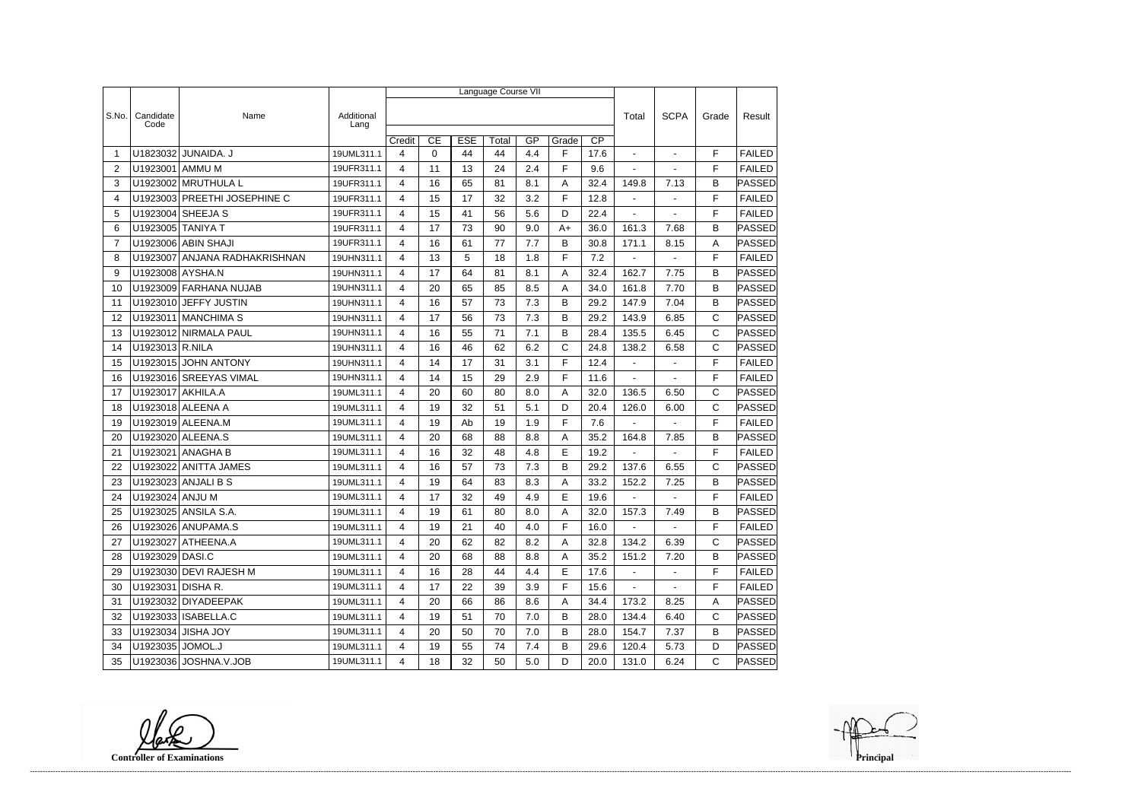|                |                   |                              |                    | Language Course VII |             |            |       |     |       |                 |                          |                |              |               |  |
|----------------|-------------------|------------------------------|--------------------|---------------------|-------------|------------|-------|-----|-------|-----------------|--------------------------|----------------|--------------|---------------|--|
|                |                   |                              |                    |                     |             |            |       |     |       |                 |                          |                |              | Result        |  |
| S.No.          | Candidate<br>Code | Name                         | Additional<br>Lang |                     |             |            |       |     |       |                 | Total                    | <b>SCPA</b>    | Grade        |               |  |
|                |                   |                              |                    | Credit              | CE          | <b>ESE</b> | Total | GP  | Grade | $\overline{CP}$ |                          |                |              |               |  |
| -1             | U1823032          | JUNAIDA. J                   | 19UML311.1         | 4                   | $\mathbf 0$ | 44         | 44    | 4.4 | F     | 17.6            |                          | $\blacksquare$ | F            | <b>FAILED</b> |  |
| 2              | U1923001          | AMMU M                       | 19UFR311.1         | 4                   | 11          | 13         | 24    | 2.4 | F     | 9.6             | $\overline{\phantom{a}}$ | $\overline{a}$ | F            | <b>FAILED</b> |  |
| 3              |                   | U1923002 MRUTHULA L          | 19UFR311.1         | 4                   | 16          | 65         | 81    | 8.1 | A     | 32.4            | 149.8                    | 7.13           | B            | <b>PASSED</b> |  |
| 4              |                   | U1923003 PREETHI JOSEPHINE C | 19UFR311.1         | 4                   | 15          | 17         | 32    | 3.2 | F     | 12.8            | $\blacksquare$           |                | F            | <b>FAILED</b> |  |
| 5              |                   | U1923004 SHEEJA S            | 19UFR311.1         | 4                   | 15          | 41         | 56    | 5.6 | D     | 22.4            | $\blacksquare$           | $\blacksquare$ | F            | <b>FAILED</b> |  |
| 6              | U1923005 TANIYA T |                              | 19UFR311.1         | 4                   | 17          | 73         | 90    | 9.0 | $A+$  | 36.0            | 161.3                    | 7.68           | B            | PASSED        |  |
| $\overline{7}$ |                   | U1923006 ABIN SHAJI          | 19UFR311.1         | 4                   | 16          | 61         | 77    | 7.7 | B     | 30.8            | 171.1                    | 8.15           | A            | <b>PASSED</b> |  |
| 8              | U1923007          | ANJANA RADHAKRISHNAN         | 19UHN311.1         | 4                   | 13          | 5          | 18    | 1.8 | F     | 7.2             | $\blacksquare$           | $\blacksquare$ | F            | <b>FAILED</b> |  |
| 9              | U1923008 AYSHA.N  |                              | 19UHN311.1         | $\overline{4}$      | 17          | 64         | 81    | 8.1 | Α     | 32.4            | 162.7                    | 7.75           | B            | PASSED        |  |
| 10             |                   | U1923009 FARHANA NUJAB       | 19UHN311.1         | 4                   | 20          | 65         | 85    | 8.5 | A     | 34.0            | 161.8                    | 7.70           | B            | PASSED        |  |
| 11             |                   | U1923010 JEFFY JUSTIN        | 19UHN311.1         | 4                   | 16          | 57         | 73    | 7.3 | В     | 29.2            | 147.9                    | 7.04           | B            | PASSED        |  |
| 12             |                   | U1923011 MANCHIMA S          | 19UHN311.1         | 4                   | 17          | 56         | 73    | 7.3 | B     | 29.2            | 143.9                    | 6.85           | $\mathsf C$  | PASSED        |  |
| 13             |                   | U1923012 NIRMALA PAUL        | 19UHN311.1         | 4                   | 16          | 55         | 71    | 7.1 | B     | 28.4            | 135.5                    | 6.45           | C            | PASSED        |  |
| 14             | U1923013 R.NILA   |                              | 19UHN311.1         | 4                   | 16          | 46         | 62    | 6.2 | C     | 24.8            | 138.2                    | 6.58           | $\mathsf{C}$ | PASSED        |  |
| 15             |                   | U1923015 JOHN ANTONY         | 19UHN311.1         | 4                   | 14          | 17         | 31    | 3.1 | F     | 12.4            | $\blacksquare$           | $\blacksquare$ | F            | <b>FAILED</b> |  |
| 16             |                   | U1923016 SREEYAS VIMAL       | 19UHN311.1         | 4                   | 14          | 15         | 29    | 2.9 | F     | 11.6            |                          |                | F            | <b>FAILED</b> |  |
| 17             | U1923017 AKHILA.A |                              | 19UML311.1         | 4                   | 20          | 60         | 80    | 8.0 | Α     | 32.0            | 136.5                    | 6.50           | C            | PASSED        |  |
| 18             |                   | U1923018 ALEENA A            | 19UML311.1         | 4                   | 19          | 32         | 51    | 5.1 | D     | 20.4            | 126.0                    | 6.00           | C            | <b>PASSED</b> |  |
| 19             |                   | U1923019 ALEENA.M            | 19UML311.1         | 4                   | 19          | Ab         | 19    | 1.9 | F     | 7.6             |                          |                | F            | <b>FAILED</b> |  |
| 20             |                   | U1923020 ALEENA.S            | 19UML311.1         | 4                   | 20          | 68         | 88    | 8.8 | Α     | 35.2            | 164.8                    | 7.85           | B            | PASSED        |  |
| 21             | U1923021          | ANAGHA B                     | 19UML311.1         | 4                   | 16          | 32         | 48    | 4.8 | E     | 19.2            | $\blacksquare$           | $\overline{a}$ | F            | <b>FAILED</b> |  |
| 22             |                   | U1923022 ANITTA JAMES        | 19UML311.1         | 4                   | 16          | 57         | 73    | 7.3 | B     | 29.2            | 137.6                    | 6.55           | $\mathsf C$  | PASSED        |  |
| 23             |                   | U1923023 ANJALI B S          | 19UML311.1         | 4                   | 19          | 64         | 83    | 8.3 | Α     | 33.2            | 152.2                    | 7.25           | B            | <b>PASSED</b> |  |
| 24             | U1923024 ANJU M   |                              | 19UML311.1         | 4                   | 17          | 32         | 49    | 4.9 | E     | 19.6            | $\mathbf{r}$             | ÷.             | F            | <b>FAILED</b> |  |
| 25             |                   | U1923025 ANSILA S.A          | 19UML311.1         | 4                   | 19          | 61         | 80    | 8.0 | Α     | 32.0            | 157.3                    | 7.49           | B            | <b>PASSED</b> |  |
| 26             |                   | U1923026 ANUPAMA.S           | 19UML311.1         | 4                   | 19          | 21         | 40    | 4.0 | F     | 16.0            |                          |                | F            | <b>FAILED</b> |  |
| 27             |                   | U1923027 ATHEENA.A           | 19UML311.1         | 4                   | 20          | 62         | 82    | 8.2 | Α     | 32.8            | 134.2                    | 6.39           | C            | PASSED        |  |
| 28             | U1923029 DASI.C   |                              | 19UML311.1         | 4                   | 20          | 68         | 88    | 8.8 | A     | 35.2            | 151.2                    | 7.20           | B            | PASSED        |  |
| 29             |                   | U1923030 DEVI RAJESH M       | 19UML311.1         | 4                   | 16          | 28         | 44    | 4.4 | Е     | 17.6            | $\sim$                   | $\blacksquare$ | F            | <b>FAILED</b> |  |
| 30             | U1923031 DISHA R. |                              | 19UML311.1         | 4                   | 17          | 22         | 39    | 3.9 | F     | 15.6            | $\sim 10$                | $\sim$         | F            | <b>FAILED</b> |  |
| 31             |                   | U1923032 DIYADEEPAK          | 19UML311.1         | 4                   | 20          | 66         | 86    | 8.6 | A     | 34.4            | 173.2                    | 8.25           | A            | PASSED        |  |
| 32             |                   | U1923033   ISABELLA.C        | 19UML311.1         | 4                   | 19          | 51         | 70    | 7.0 | В     | 28.0            | 134.4                    | 6.40           | $\mathsf{C}$ | PASSED        |  |
| 33             |                   | U1923034 JISHA JOY           | 19UML311.1         | 4                   | 20          | 50         | 70    | 7.0 | B     | 28.0            | 154.7                    | 7.37           | B            | PASSED        |  |
| 34             | U1923035 JOMOL.J  |                              | 19UML311.1         | 4                   | 19          | 55         | 74    | 7.4 | B     | 29.6            | 120.4                    | 5.73           | D            | <b>PASSED</b> |  |
| 35             |                   | U1923036 JOSHNA.V.JOB        | 19UML311.1         | $\overline{4}$      | 18          | 32         | 50    | 5.0 | D     | 20.0            | 131.0                    | 6.24           | $\mathsf{C}$ | <b>PASSED</b> |  |

**Controller of Examinations**